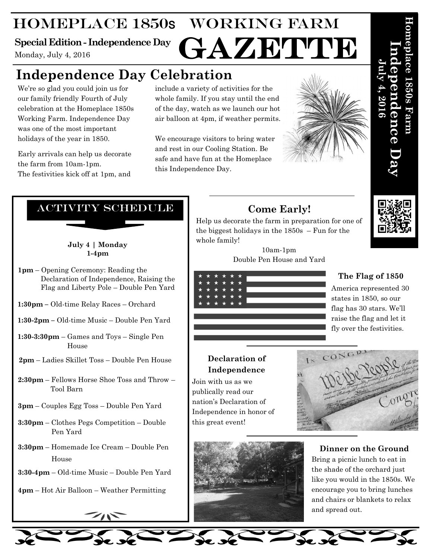## Homeplace 1850s Working Farm GAZETTE

## **Special Edition - Independence Day**

Monday, July 4, 2016

## **Independence Day Celebration**

We're so glad you could join us for our family friendly Fourth of July celebration at the Homeplace 1850s Working Farm. Independence Day was one of the most important holidays of the year in 1850.

Early arrivals can help us decorate the farm from 10am-1pm. The festivities kick off at 1pm, and

include a variety of activities for the whole family. If you stay until the end of the day, watch as we launch our hot air balloon at 4pm, if weather permits.

We encourage visitors to bring water and rest in our Cooling Station. Be safe and have fun at the Homeplace this Independence Day.



## Activity Schedule

**July 4 | Monday 1-4pm**

**1pm** – Opening Ceremony: Reading the Declaration of Independence, Raising the Flag and Liberty Pole – Double Pen Yard

**1:30pm –** Old-time Relay Races – Orchard

**1:30-2pm –** Old-time Music – Double Pen Yard

**1:30-3:30pm** – Games and Toys – Single Pen House

**2pm** – Ladies Skillet Toss – Double Pen House

**2:30pm** – Fellows Horse Shoe Toss and Throw – Tool Barn

- **3pm** Couples Egg Toss Double Pen Yard
- **3:30pm** Clothes Pegs Competition Double Pen Yard
- **3:30pm** Homemade Ice Cream Double Pen House
- **3:30-4pm** Old-time Music Double Pen Yard
- **4pm** Hot Air Balloon Weather Permitting

## **Come Early!**

Help us decorate the farm in preparation for one of the biggest holidays in the 1850s – Fun for the whole family!

> 10am-1pm Double Pen House and Yard



## **Declaration of Independence**

Join with us as we publically read our nation's Declaration of Independence in honor of this great event!



**Dinner on the Ground** Bring a picnic lunch to eat in the shade of the orchard just like you would in the 1850s. We encourage you to bring lunches and chairs or blankets to relax and spread out.



**Homeplace 1850s Farm** 

**Independence Day** 

a en ce

 **July 4, 2016** 

## **The Flag of 1850**

America represented 30 states in 1850, so our flag has 30 stars. We'll raise the flag and let it fly over the festivities.